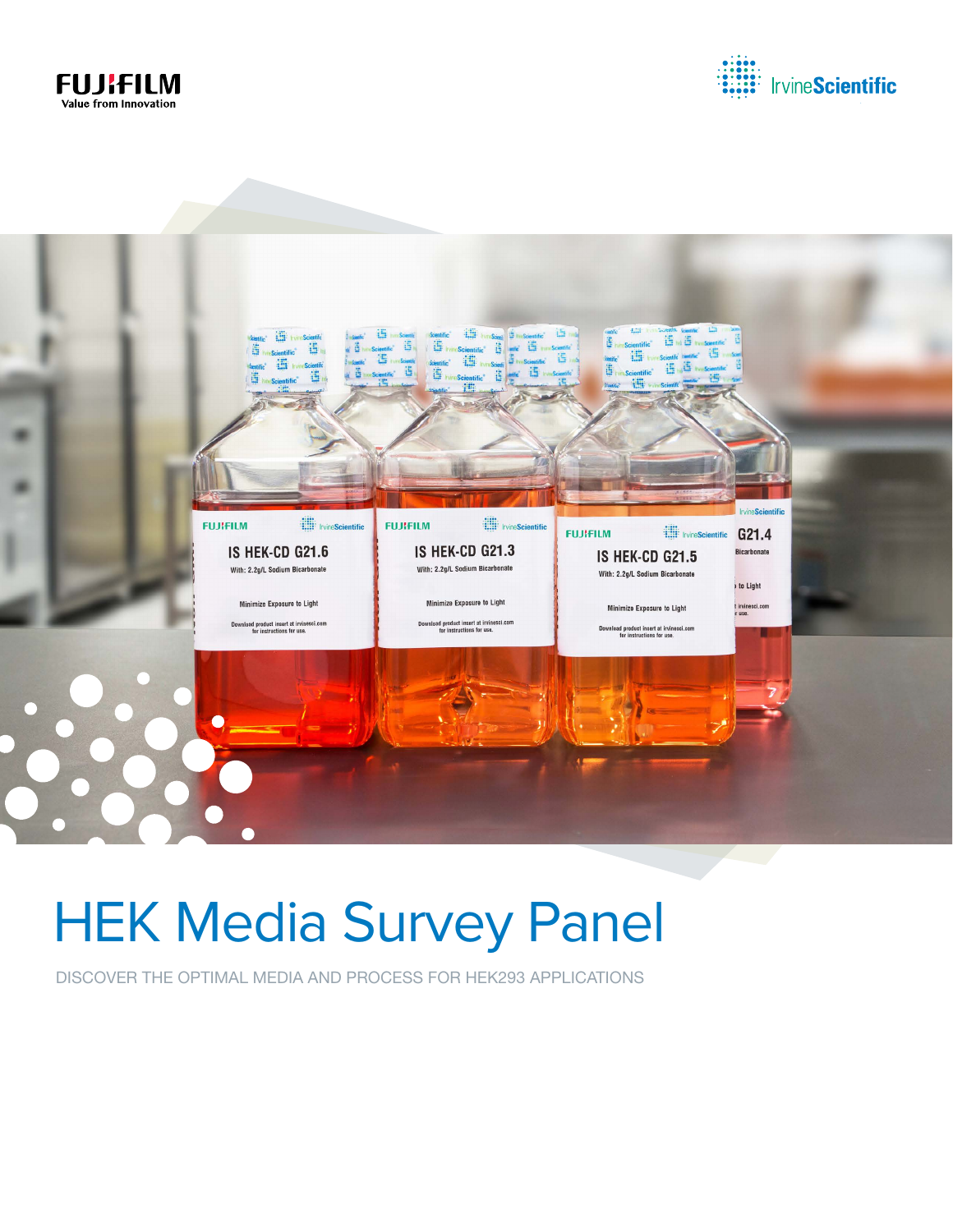





# HEK Media Survey Panel

DISCOVER THE OPTIMAL MEDIA AND PROCESS FOR HEK293 APPLICATIONS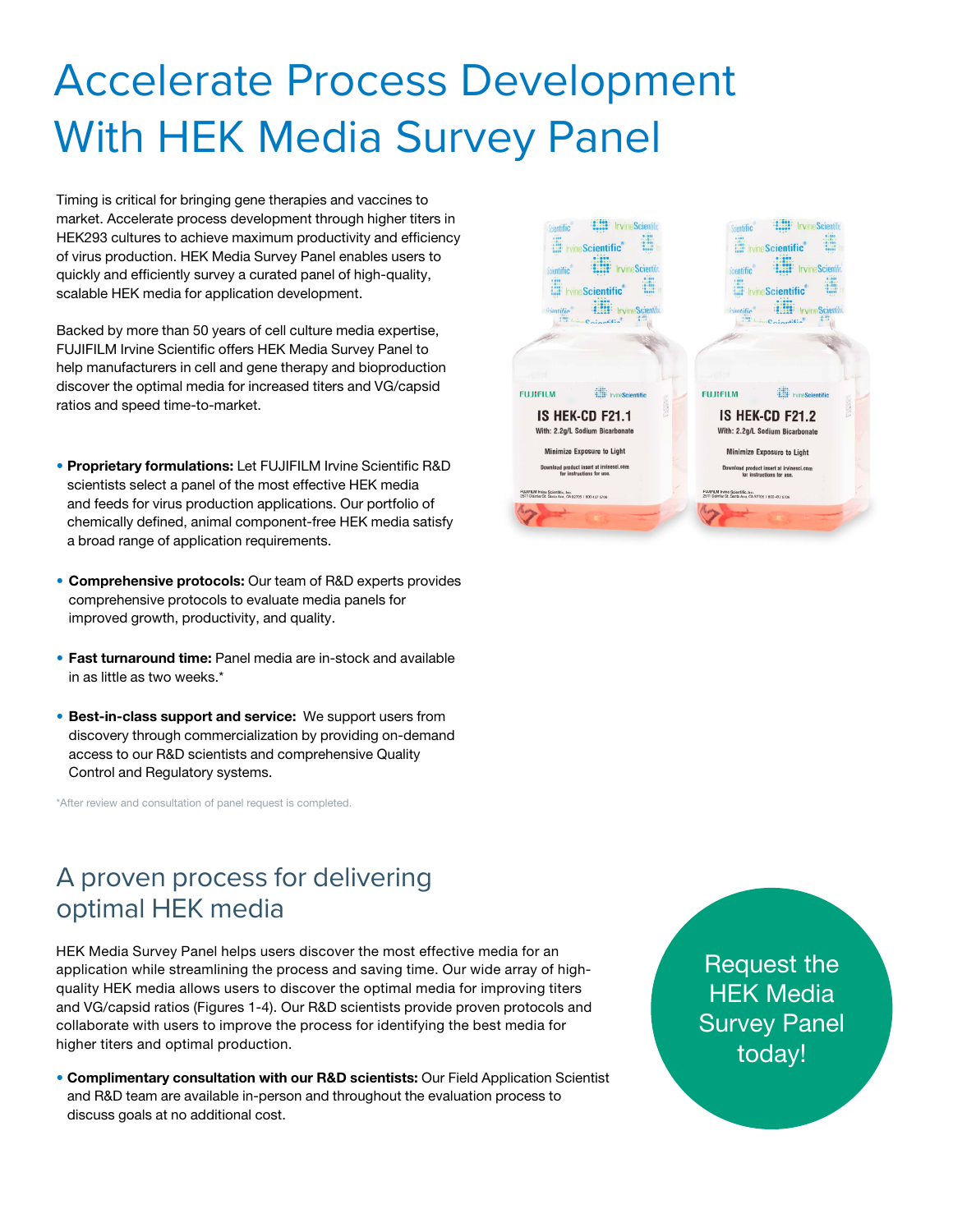## Accelerate Process Development With HEK Media Survey Panel

Timing is critical for bringing gene therapies and vaccines to market. Accelerate process development through higher titers in HEK293 cultures to achieve maximum productivity and efficiency of virus production. HEK Media Survey Panel enables users to quickly and efficiently survey a curated panel of high-quality, scalable HEK media for application development.

Backed by more than 50 years of cell culture media expertise, FUJIFILM Irvine Scientific offers HEK Media Survey Panel to help manufacturers in cell and gene therapy and bioproduction discover the optimal media for increased titers and VG/capsid ratios and speed time-to-market.

- Proprietary formulations: Let FUJIFILM Irvine Scientific R&D scientists select a panel of the most effective HEK media and feeds for virus production applications. Our portfolio of chemically defined, animal component-free HEK media satisfy a broad range of application requirements.
- Comprehensive protocols: Our team of R&D experts provides comprehensive protocols to evaluate media panels for improved growth, productivity, and quality.
- Fast turnaround time: Panel media are in-stock and available in as little as two weeks.\*
- Best-in-class support and service: We support users from discovery through commercialization by providing on-demand access to our R&D scientists and comprehensive Quality Control and Regulatory systems.

\*After review and consultation of panel request is completed.



### A proven process for delivering optimal HEK media

HEK Media Survey Panel helps users discover the most effective media for an application while streamlining the process and saving time. Our wide array of highquality HEK media allows users to discover the optimal media for improving titers and VG/capsid ratios (Figures 1-4). Our R&D scientists provide proven protocols and collaborate with users to improve the process for identifying the best media for higher titers and optimal production.

• Complimentary consultation with our R&D scientists: Our Field Application Scientist and R&D team are available in-person and throughout the evaluation process to discuss goals at no additional cost.

Request the HEK Media Survey Panel today!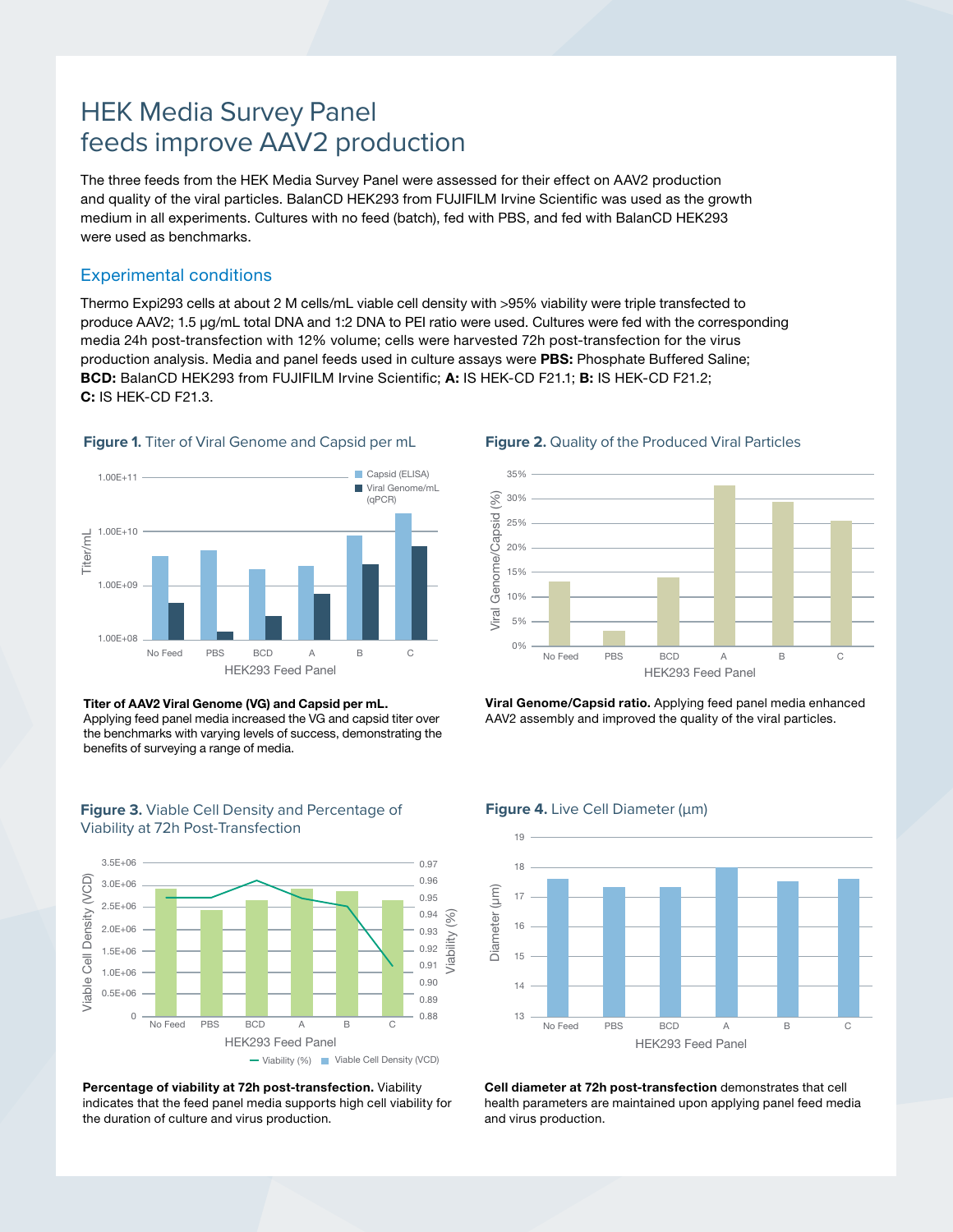### HEK Media Survey Panel feeds improve AAV2 production

The three feeds from the HEK Media Survey Panel were assessed for their effect on AAV2 production and quality of the viral particles. BalanCD HEK293 from FUJIFILM Irvine Scientific was used as the growth medium in all experiments. Cultures with no feed (batch), fed with PBS, and fed with BalanCD HEK293 were used as benchmarks.

### Experimental conditions

Thermo Expi293 cells at about 2 M cells/mL viable cell density with >95% viability were triple transfected to produce AAV2; 1.5 µg/mL total DNA and 1:2 DNA to PEI ratio were used. Cultures were fed with the corresponding media 24h post-transfection with 12% volume; cells were harvested 72h post-transfection for the virus production analysis. Media and panel feeds used in culture assays were PBS: Phosphate Buffered Saline; BCD: BalanCD HEK293 from FUJIFILM Irvine Scientific; A: IS HEK-CD F21.1; B: IS HEK-CD F21.2; C: IS HEK-CD F21.3.



#### **Figure 1.** Titer of Viral Genome and Capsid per mL





**Figure 3.** Viable Cell Density and Percentage of

Percentage of viability at 72h post-transfection. Viability indicates that the feed panel media supports high cell viability for the duration of culture and virus production.

**→ Viability (%)** Viable Cell Density (VCD)

#### **Figure 2.** Quality of the Produced Viral Particles



Viral Genome/Capsid ratio. Applying feed panel media enhanced AAV2 assembly and improved the quality of the viral particles.

#### **Figure 4.** Live Cell Diameter (μm)



Cell diameter at 72h post-transfection demonstrates that cell health parameters are maintained upon applying panel feed media and virus production.